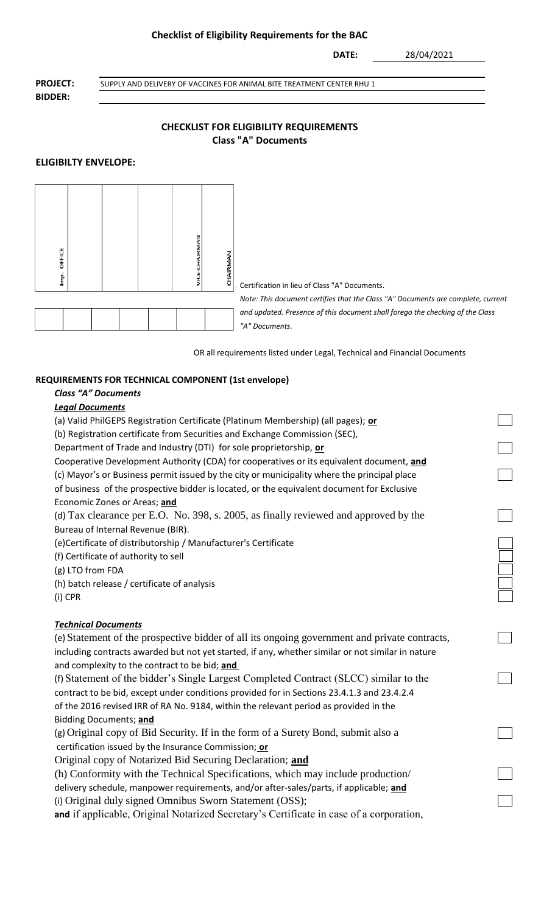#### **Checklist of Eligibility Requirements for the BAC**

**DATE:**

28/04/2021

**BIDDER:**

**PROJECT:** SUPPLY AND DELIVERY OF VACCINES FOR ANIMAL BITE TREATMENT CENTER RHU 1

## **CHECKLIST FOR ELIGIBILITY REQUIREMENTS Class "A" Documents**

## **ELIGIBILTY ENVELOPE:**



OR all requirements listed under Legal, Technical and Financial Documents

## **REQUIREMENTS FOR TECHNICAL COMPONENT (1st envelope)**

# *Class "A" Documents*

#### *Legal Documents*

(a) Valid PhilGEPS Registration Certificate (Platinum Membership) (all pages); **or** (b) Registration certificate from Securities and Exchange Commission (SEC), Department of Trade and Industry (DTI) for sole proprietorship, **or** Cooperative Development Authority (CDA) for cooperatives or its equivalent document, **and** (c) Mayor's or Business permit issued by the city or municipality where the principal place of business of the prospective bidder is located, or the equivalent document for Exclusive Economic Zones or Areas; **and** (d) Tax clearance per E.O. No. 398, s. 2005, as finally reviewed and approved by the Bureau of Internal Revenue (BIR). (e)Certificate of distributorship / Manufacturer's Certificate (f) Certificate of authority to sell (g) LTO from FDA (h) batch release / certificate of analysis (i) CPR *Technical Documents* (e) Statement of the prospective bidder of all its ongoing government and private contracts, including contracts awarded but not yet started, if any, whether similar or not similar in nature and complexity to the contract to be bid; **and**  (f) Statement of the bidder's Single Largest Completed Contract (SLCC) similar to the contract to be bid, except under conditions provided for in Sections 23.4.1.3 and 23.4.2.4 of the 2016 revised IRR of RA No. 9184, within the relevant period as provided in the Bidding Documents; **and** (g) Original copy of Bid Security. If in the form of a Surety Bond, submit also a certification issued by the Insurance Commission; **or** Original copy of Notarized Bid Securing Declaration; **and** (h) Conformity with the Technical Specifications, which may include production/ delivery schedule, manpower requirements, and/or after-sales/parts, if applicable; **and** (i) Original duly signed Omnibus Sworn Statement (OSS); **and** if applicable, Original Notarized Secretary's Certificate in case of a corporation,